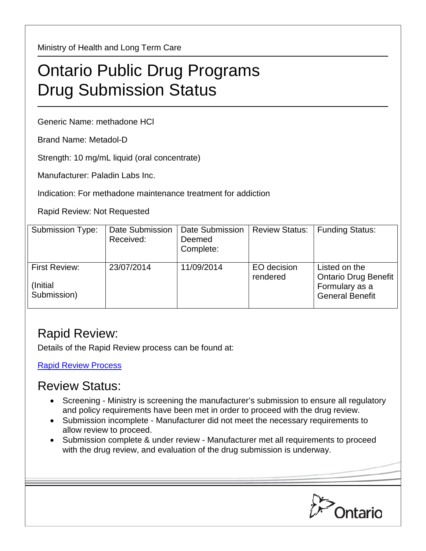Ministry of Health and Long Term Care

## Ontario Public Drug Programs Drug Submission Status

Generic Name: methadone HCl

Brand Name: Metadol-D

Strength: 10 mg/mL liquid (oral concentrate)

Manufacturer: Paladin Labs Inc.

Indication: For methadone maintenance treatment for addiction

Rapid Review: Not Requested

| <b>Submission Type:</b>                   | Date Submission<br>Received: | Date Submission<br>Deemed<br>Complete: | <b>Review Status:</b>   | <b>Funding Status:</b>                                                                   |
|-------------------------------------------|------------------------------|----------------------------------------|-------------------------|------------------------------------------------------------------------------------------|
| First Review:<br>(Initial)<br>Submission) | 23/07/2014                   | 11/09/2014                             | EO decision<br>rendered | Listed on the<br><b>Ontario Drug Benefit</b><br>Formulary as a<br><b>General Benefit</b> |

## Rapid Review:

Details of the Rapid Review process can be found at:

[Rapid Review Process](http://www.health.gov.on.ca/en/pro/programs/drugs/drug_submissions/rapid_review_process.aspx)

## Review Status:

- Screening Ministry is screening the manufacturer's submission to ensure all regulatory and policy requirements have been met in order to proceed with the drug review.
- Submission incomplete Manufacturer did not meet the necessary requirements to allow review to proceed.
- Submission complete & under review Manufacturer met all requirements to proceed with the drug review, and evaluation of the drug submission is underway.